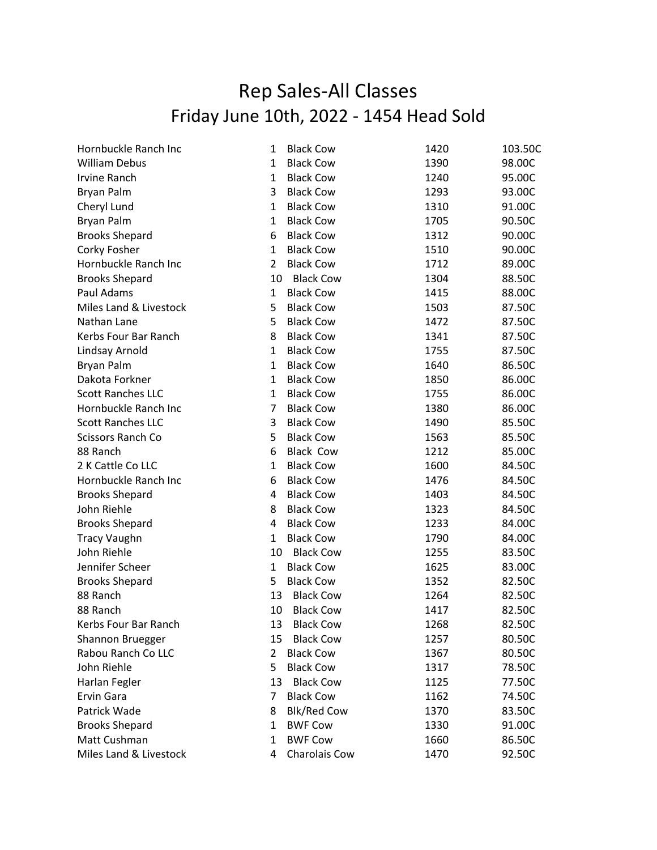## Rep Sales-All Classes Friday June 10th, 2022 - 1454 Head Sold

| Hornbuckle Ranch Inc     | 1              | <b>Black Cow</b>   | 1420 | 103.50C |
|--------------------------|----------------|--------------------|------|---------|
| <b>William Debus</b>     | 1              | <b>Black Cow</b>   | 1390 | 98.00C  |
| <b>Irvine Ranch</b>      | 1              | <b>Black Cow</b>   | 1240 | 95.00C  |
| <b>Bryan Palm</b>        | 3              | <b>Black Cow</b>   | 1293 | 93.00C  |
| Cheryl Lund              | $\mathbf{1}$   | <b>Black Cow</b>   | 1310 | 91.00C  |
| <b>Bryan Palm</b>        | $\mathbf{1}$   | <b>Black Cow</b>   | 1705 | 90.50C  |
| <b>Brooks Shepard</b>    | 6              | <b>Black Cow</b>   | 1312 | 90.00C  |
| Corky Fosher             | $\mathbf{1}$   | <b>Black Cow</b>   | 1510 | 90.00C  |
| Hornbuckle Ranch Inc     | $\overline{2}$ | <b>Black Cow</b>   | 1712 | 89.00C  |
| <b>Brooks Shepard</b>    | 10             | <b>Black Cow</b>   | 1304 | 88.50C  |
| Paul Adams               | $\mathbf{1}$   | <b>Black Cow</b>   | 1415 | 88.00C  |
| Miles Land & Livestock   | 5              | <b>Black Cow</b>   | 1503 | 87.50C  |
| Nathan Lane              | 5              | <b>Black Cow</b>   | 1472 | 87.50C  |
| Kerbs Four Bar Ranch     | 8              | <b>Black Cow</b>   | 1341 | 87.50C  |
| Lindsay Arnold           | $\mathbf{1}$   | <b>Black Cow</b>   | 1755 | 87.50C  |
| <b>Bryan Palm</b>        | $\mathbf{1}$   | <b>Black Cow</b>   | 1640 | 86.50C  |
| Dakota Forkner           | $\mathbf{1}$   | <b>Black Cow</b>   | 1850 | 86.00C  |
| <b>Scott Ranches LLC</b> | $\mathbf{1}$   | <b>Black Cow</b>   | 1755 | 86.00C  |
| Hornbuckle Ranch Inc     | $\overline{7}$ | <b>Black Cow</b>   | 1380 | 86.00C  |
| <b>Scott Ranches LLC</b> | 3              | <b>Black Cow</b>   | 1490 | 85.50C  |
| Scissors Ranch Co        | 5              | <b>Black Cow</b>   | 1563 | 85.50C  |
| 88 Ranch                 | 6              | <b>Black Cow</b>   | 1212 | 85.00C  |
| 2 K Cattle Co LLC        | 1              | <b>Black Cow</b>   | 1600 | 84.50C  |
| Hornbuckle Ranch Inc     | 6              | <b>Black Cow</b>   | 1476 | 84.50C  |
| <b>Brooks Shepard</b>    | 4              | <b>Black Cow</b>   | 1403 | 84.50C  |
| John Riehle              | 8              | <b>Black Cow</b>   | 1323 | 84.50C  |
| <b>Brooks Shepard</b>    | 4              | <b>Black Cow</b>   | 1233 | 84.00C  |
| <b>Tracy Vaughn</b>      | $\mathbf{1}$   | <b>Black Cow</b>   | 1790 | 84.00C  |
| John Riehle              | 10             | <b>Black Cow</b>   | 1255 | 83.50C  |
| Jennifer Scheer          | $\mathbf{1}$   | <b>Black Cow</b>   | 1625 | 83.00C  |
| <b>Brooks Shepard</b>    | 5              | <b>Black Cow</b>   | 1352 | 82.50C  |
| 88 Ranch                 | 13             | <b>Black Cow</b>   | 1264 | 82.50C  |
| 88 Ranch                 | 10             | <b>Black Cow</b>   | 1417 | 82.50C  |
| Kerbs Four Bar Ranch     | 13             | <b>Black Cow</b>   | 1268 | 82.50C  |
| Shannon Bruegger         | 15             | <b>Black Cow</b>   | 1257 | 80.50C  |
| Rabou Ranch Co LLC       | $\overline{2}$ | <b>Black Cow</b>   | 1367 | 80.50C  |
| John Riehle              | 5              | <b>Black Cow</b>   | 1317 | 78.50C  |
| Harlan Fegler            | 13             | <b>Black Cow</b>   | 1125 | 77.50C  |
| Ervin Gara               | 7              | <b>Black Cow</b>   | 1162 | 74.50C  |
| Patrick Wade             | 8              | <b>Blk/Red Cow</b> | 1370 | 83.50C  |
| <b>Brooks Shepard</b>    | 1              | <b>BWF Cow</b>     | 1330 | 91.00C  |
| Matt Cushman             | 1              | <b>BWF Cow</b>     | 1660 | 86.50C  |
| Miles Land & Livestock   | 4              | Charolais Cow      | 1470 | 92.50C  |